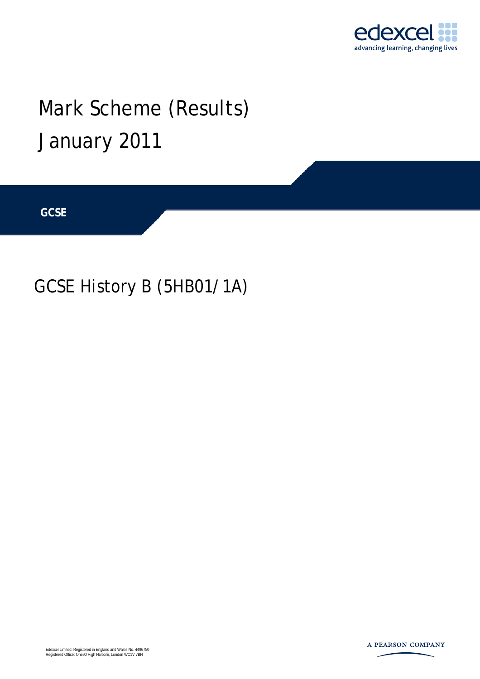

# Mark Scheme (Results) January 2011

**GCSE** 

## GCSE History B (5HB01/1A)

Edexcel Limited. Registered in England and Wales No. 4496750 Registered Office: One90 High Holborn, London WC1V 7BH

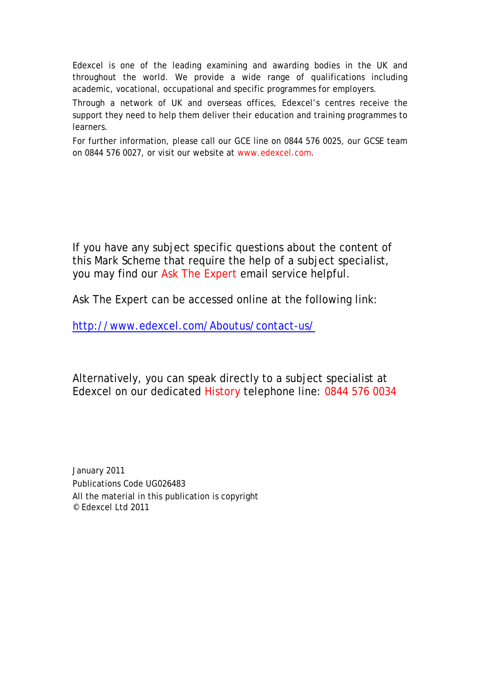Edexcel is one of the leading examining and awarding bodies in the UK and throughout the world. We provide a wide range of qualifications including academic, vocational, occupational and specific programmes for employers.

Through a network of UK and overseas offices, Edexcel's centres receive the support they need to help them deliver their education and training programmes to learners.

For further information, please call our GCE line on 0844 576 0025, our GCSE team on 0844 576 0027, or visit our website at www.edexcel.com.

If you have any subject specific questions about the content of this Mark Scheme that require the help of a subject specialist, you may find our Ask The Expert email service helpful.

Ask The Expert can be accessed online at the following link:

<http://www.edexcel.com/Aboutus/contact-us/>

Alternatively, you can speak directly to a subject specialist at Edexcel on our dedicated History telephone line: 0844 576 0034

January 2011 Publications Code UG026483 All the material in this publication is copyright © Edexcel Ltd 2011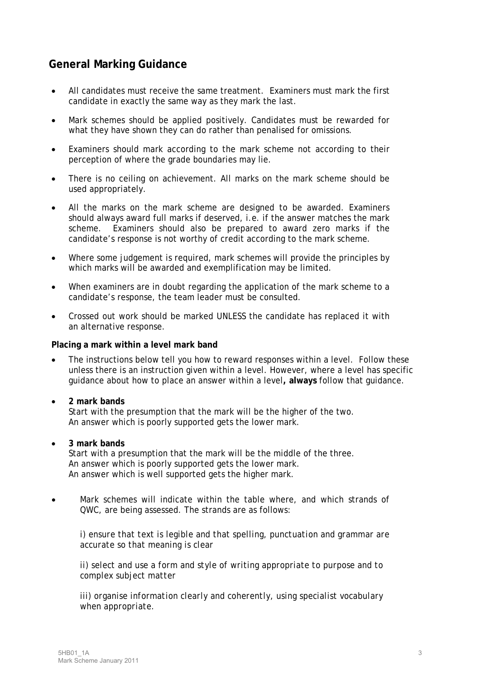### **General Marking Guidance**

- All candidates must receive the same treatment. Examiners must mark the first candidate in exactly the same way as they mark the last.
- Mark schemes should be applied positively. Candidates must be rewarded for what they have shown they can do rather than penalised for omissions.
- Examiners should mark according to the mark scheme not according to their perception of where the grade boundaries may lie.
- There is no ceiling on achievement. All marks on the mark scheme should be used appropriately.
- All the marks on the mark scheme are designed to be awarded. Examiners should always award full marks if deserved, i.e. if the answer matches the mark scheme. Examiners should also be prepared to award zero marks if the candidate's response is not worthy of credit according to the mark scheme.
- Where some judgement is required, mark schemes will provide the principles by which marks will be awarded and exemplification may be limited.
- When examiners are in doubt regarding the application of the mark scheme to a candidate's response, the team leader must be consulted.
- Crossed out work should be marked UNLESS the candidate has replaced it with an alternative response.

#### **Placing a mark within a level mark band**

- The instructions below tell you how to reward responses within a level. Follow these unless there is an instruction given within a level. However, where a level has specific guidance about how to place an answer within a level**, always** follow that guidance.
	- • **2 mark bands** Start with the presumption that the mark will be the higher of the two. An answer which is poorly supported gets the lower mark.
- • **3 mark bands**

Start with a presumption that the mark will be the middle of the three. An answer which is poorly supported gets the lower mark. An answer which is well supported gets the higher mark.

• Mark schemes will indicate within the table where, and which strands of QWC, are being assessed. The strands are as follows:

*i) ensure that text is legible and that spelling, punctuation and grammar are accurate so that meaning is clear* 

*ii) select and use a form and style of writing appropriate to purpose and to complex subject matter* 

*iii) organise information clearly and coherently, using specialist vocabulary when appropriate.*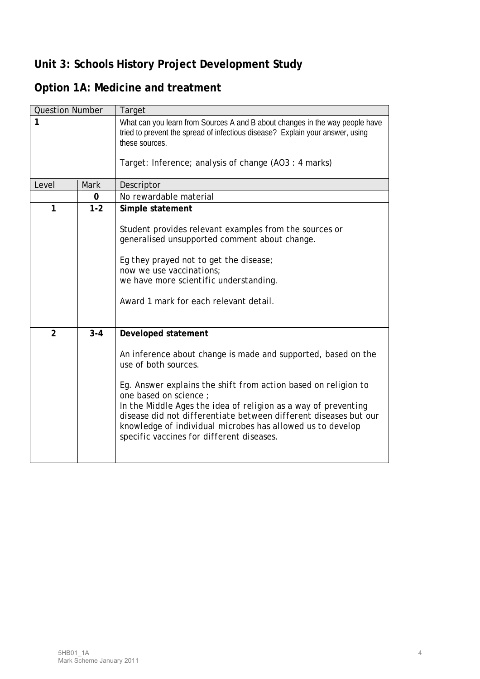## **Unit 3: Schools History Project Development Study**

## **Option 1A: Medicine and treatment**

| <b>Question Number</b> |             | Target                                                                                                                                                                                                                                                                                                                                                                                                                                                   |
|------------------------|-------------|----------------------------------------------------------------------------------------------------------------------------------------------------------------------------------------------------------------------------------------------------------------------------------------------------------------------------------------------------------------------------------------------------------------------------------------------------------|
| $\mathbf{1}$           |             | What can you learn from Sources A and B about changes in the way people have<br>tried to prevent the spread of infectious disease? Explain your answer, using<br>these sources.                                                                                                                                                                                                                                                                          |
|                        |             | Target: Inference; analysis of change (AO3: 4 marks)                                                                                                                                                                                                                                                                                                                                                                                                     |
| Level                  | <b>Mark</b> | Descriptor                                                                                                                                                                                                                                                                                                                                                                                                                                               |
|                        | 0           | No rewardable material                                                                                                                                                                                                                                                                                                                                                                                                                                   |
| $\mathbf{1}$           | $1 - 2$     | Simple statement<br>Student provides relevant examples from the sources or<br>generalised unsupported comment about change.<br>Eg they prayed not to get the disease;                                                                                                                                                                                                                                                                                    |
|                        |             | now we use vaccinations:<br>we have more scientific understanding.<br>Award 1 mark for each relevant detail.                                                                                                                                                                                                                                                                                                                                             |
| $\overline{2}$         | $3 - 4$     | Developed statement<br>An inference about change is made and supported, based on the<br>use of both sources.<br>Eg. Answer explains the shift from action based on religion to<br>one based on science;<br>In the Middle Ages the idea of religion as a way of preventing<br>disease did not differentiate between different diseases but our<br>knowledge of individual microbes has allowed us to develop<br>specific vaccines for different diseases. |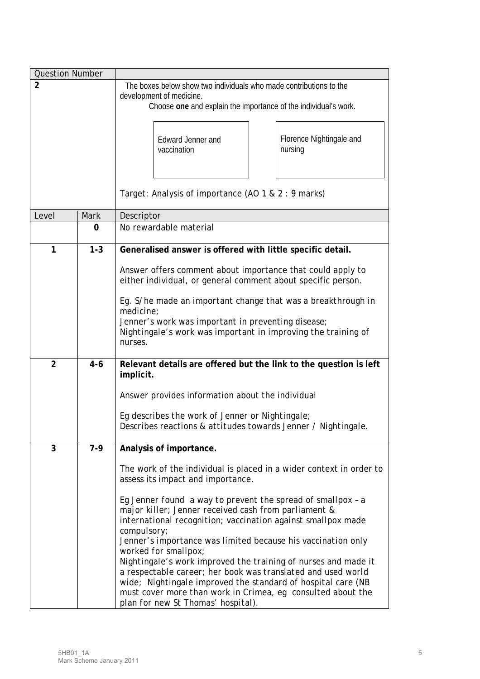| <b>Question Number</b> |         |                                                                                                                                                                                                                                                                                                     |
|------------------------|---------|-----------------------------------------------------------------------------------------------------------------------------------------------------------------------------------------------------------------------------------------------------------------------------------------------------|
| $\overline{2}$         |         | The boxes below show two individuals who made contributions to the                                                                                                                                                                                                                                  |
|                        |         | development of medicine.<br>Choose one and explain the importance of the individual's work.                                                                                                                                                                                                         |
|                        |         |                                                                                                                                                                                                                                                                                                     |
|                        |         | Florence Nightingale and<br>Edward Jenner and<br>nursing<br>vaccination                                                                                                                                                                                                                             |
|                        |         |                                                                                                                                                                                                                                                                                                     |
|                        |         | Target: Analysis of importance (AO 1 & 2 : 9 marks)                                                                                                                                                                                                                                                 |
| Level                  | Mark    | Descriptor                                                                                                                                                                                                                                                                                          |
|                        | 0       | No rewardable material                                                                                                                                                                                                                                                                              |
| 1                      | $1 - 3$ | Generalised answer is offered with little specific detail.                                                                                                                                                                                                                                          |
|                        |         | Answer offers comment about importance that could apply to<br>either individual, or general comment about specific person.                                                                                                                                                                          |
|                        |         | Eg. S/he made an important change that was a breakthrough in<br>medicine;                                                                                                                                                                                                                           |
|                        |         | Jenner's work was important in preventing disease;<br>Nightingale's work was important in improving the training of<br>nurses.                                                                                                                                                                      |
| $\overline{2}$         | $4 - 6$ | Relevant details are offered but the link to the question is left<br>implicit.                                                                                                                                                                                                                      |
|                        |         | Answer provides information about the individual                                                                                                                                                                                                                                                    |
|                        |         | Eq describes the work of Jenner or Nightingale;<br>Describes reactions & attitudes towards Jenner / Nightingale.                                                                                                                                                                                    |
| 3                      | $7-9$   | Analysis of importance.                                                                                                                                                                                                                                                                             |
|                        |         | The work of the individual is placed in a wider context in order to<br>assess its impact and importance.                                                                                                                                                                                            |
|                        |         | Eg Jenner found a way to prevent the spread of smallpox - a<br>major killer; Jenner received cash from parliament &<br>international recognition; vaccination against smallpox made<br>compulsory;                                                                                                  |
|                        |         | Jenner's importance was limited because his vaccination only<br>worked for smallpox;                                                                                                                                                                                                                |
|                        |         | Nightingale's work improved the training of nurses and made it<br>a respectable career; her book was translated and used world<br>wide; Nightingale improved the standard of hospital care (NB<br>must cover more than work in Crimea, eg consulted about the<br>plan for new St Thomas' hospital). |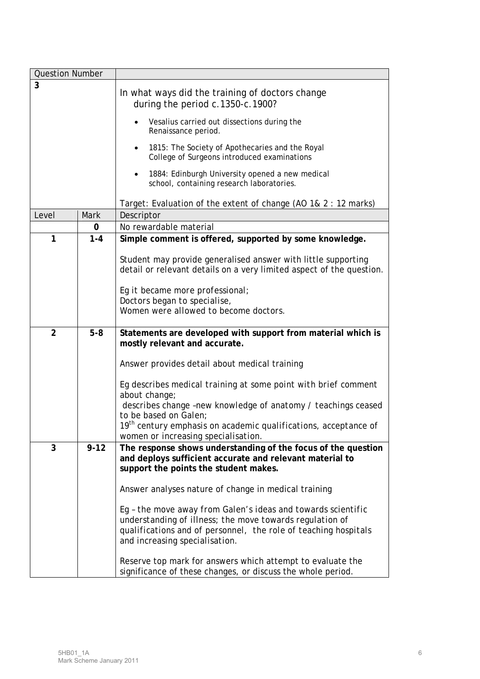| <b>Question Number</b> |          |                                                                                                                                                                                                                               |
|------------------------|----------|-------------------------------------------------------------------------------------------------------------------------------------------------------------------------------------------------------------------------------|
| 3                      |          | In what ways did the training of doctors change<br>during the period c.1350-c.1900?                                                                                                                                           |
|                        |          | Vesalius carried out dissections during the<br>Renaissance period.                                                                                                                                                            |
|                        |          | 1815: The Society of Apothecaries and the Royal<br>$\bullet$<br>College of Surgeons introduced examinations                                                                                                                   |
|                        |          | 1884: Edinburgh University opened a new medical<br>school, containing research laboratories.                                                                                                                                  |
|                        |          | Target: Evaluation of the extent of change (AO 1& 2 : 12 marks)                                                                                                                                                               |
| Level                  | Mark     | Descriptor                                                                                                                                                                                                                    |
|                        | 0        | No rewardable material                                                                                                                                                                                                        |
| 1                      | $1 - 4$  | Simple comment is offered, supported by some knowledge.                                                                                                                                                                       |
|                        |          | Student may provide generalised answer with little supporting<br>detail or relevant details on a very limited aspect of the question.                                                                                         |
|                        |          | Eg it became more professional;                                                                                                                                                                                               |
|                        |          | Doctors began to specialise,                                                                                                                                                                                                  |
|                        |          | Women were allowed to become doctors.                                                                                                                                                                                         |
| $\overline{2}$         | $5-8$    | Statements are developed with support from material which is<br>mostly relevant and accurate.                                                                                                                                 |
|                        |          | Answer provides detail about medical training                                                                                                                                                                                 |
|                        |          | Eg describes medical training at some point with brief comment<br>about change;                                                                                                                                               |
|                        |          | describes change -new knowledge of anatomy / teachings ceased<br>to be based on Galen;                                                                                                                                        |
|                        |          | 19 <sup>th</sup> century emphasis on academic qualifications, acceptance of<br>women or increasing specialisation.                                                                                                            |
| 3                      | $9 - 12$ | The response shows understanding of the focus of the question<br>and deploys sufficient accurate and relevant material to<br>support the points the student makes.                                                            |
|                        |          | Answer analyses nature of change in medical training                                                                                                                                                                          |
|                        |          | Eg - the move away from Galen's ideas and towards scientific<br>understanding of illness; the move towards regulation of<br>qualifications and of personnel, the role of teaching hospitals<br>and increasing specialisation. |
|                        |          | Reserve top mark for answers which attempt to evaluate the<br>significance of these changes, or discuss the whole period.                                                                                                     |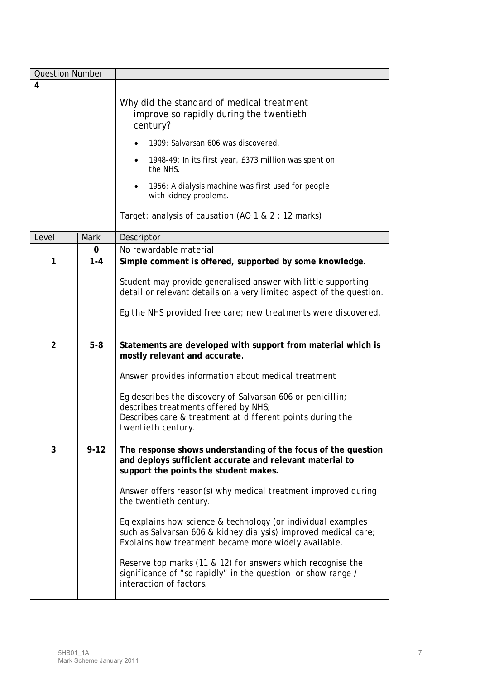| <b>Question Number</b> |          |                                                                                                                                                                                         |
|------------------------|----------|-----------------------------------------------------------------------------------------------------------------------------------------------------------------------------------------|
| 4                      |          |                                                                                                                                                                                         |
|                        |          | Why did the standard of medical treatment<br>improve so rapidly during the twentieth<br>century?                                                                                        |
|                        |          | 1909: Salvarsan 606 was discovered.                                                                                                                                                     |
|                        |          | 1948-49: In its first year, £373 million was spent on<br>٠<br>the NHS.                                                                                                                  |
|                        |          | 1956: A dialysis machine was first used for people<br>$\bullet$<br>with kidney problems.                                                                                                |
|                        |          | Target: analysis of causation (AO 1 & 2 : 12 marks)                                                                                                                                     |
| Level                  | Mark     | Descriptor                                                                                                                                                                              |
|                        | 0        | No rewardable material                                                                                                                                                                  |
| 1                      | $1 - 4$  | Simple comment is offered, supported by some knowledge.                                                                                                                                 |
|                        |          | Student may provide generalised answer with little supporting<br>detail or relevant details on a very limited aspect of the question.                                                   |
|                        |          | Eg the NHS provided free care; new treatments were discovered.                                                                                                                          |
| $\overline{2}$         | $5-8$    | Statements are developed with support from material which is<br>mostly relevant and accurate.                                                                                           |
|                        |          | Answer provides information about medical treatment                                                                                                                                     |
|                        |          | Eg describes the discovery of Salvarsan 606 or penicillin;<br>describes treatments offered by NHS;                                                                                      |
|                        |          | Describes care & treatment at different points during the<br>twentieth century.                                                                                                         |
| 3                      | $9 - 12$ | The response shows understanding of the focus of the question<br>and deploys sufficient accurate and relevant material to<br>support the points the student makes.                      |
|                        |          | Answer offers reason(s) why medical treatment improved during<br>the twentieth century.                                                                                                 |
|                        |          | Eg explains how science & technology (or individual examples<br>such as Salvarsan 606 & kidney dialysis) improved medical care;<br>Explains how treatment became more widely available. |
|                        |          | Reserve top marks (11 & 12) for answers which recognise the<br>significance of "so rapidly" in the question or show range /<br>interaction of factors.                                  |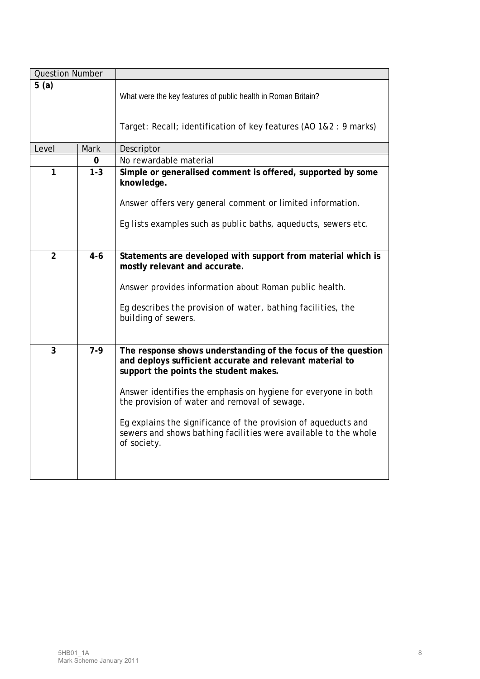| <b>Question Number</b> |         |                                                                                                                                                                    |
|------------------------|---------|--------------------------------------------------------------------------------------------------------------------------------------------------------------------|
| 5(a)                   |         | What were the key features of public health in Roman Britain?                                                                                                      |
|                        |         | Target: Recall; identification of key features (AO 1&2 : 9 marks)                                                                                                  |
| Level                  | Mark    | Descriptor                                                                                                                                                         |
|                        | 0       | No rewardable material                                                                                                                                             |
| 1                      | $1 - 3$ | Simple or generalised comment is offered, supported by some<br>knowledge.                                                                                          |
|                        |         | Answer offers very general comment or limited information.                                                                                                         |
|                        |         | Eg lists examples such as public baths, aqueducts, sewers etc.                                                                                                     |
| $\overline{2}$         | $4 - 6$ | Statements are developed with support from material which is<br>mostly relevant and accurate.                                                                      |
|                        |         | Answer provides information about Roman public health.                                                                                                             |
|                        |         | Eg describes the provision of water, bathing facilities, the<br>building of sewers.                                                                                |
| 3                      | $7-9$   | The response shows understanding of the focus of the question<br>and deploys sufficient accurate and relevant material to<br>support the points the student makes. |
|                        |         | Answer identifies the emphasis on hygiene for everyone in both<br>the provision of water and removal of sewage.                                                    |
|                        |         | Eg explains the significance of the provision of aqueducts and<br>sewers and shows bathing facilities were available to the whole<br>of society.                   |
|                        |         |                                                                                                                                                                    |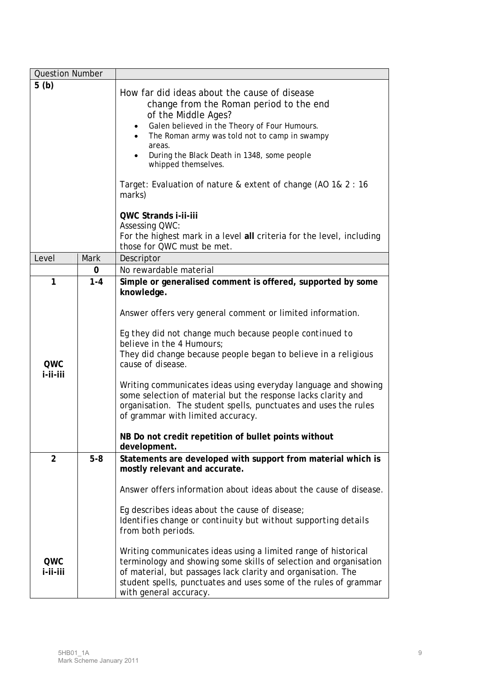| <b>Question Number</b> |             |                                                                                                                                                                                                                                                                                                                                                                                                                                                                                                                                                                                                                                           |
|------------------------|-------------|-------------------------------------------------------------------------------------------------------------------------------------------------------------------------------------------------------------------------------------------------------------------------------------------------------------------------------------------------------------------------------------------------------------------------------------------------------------------------------------------------------------------------------------------------------------------------------------------------------------------------------------------|
| 5(b)                   |             | How far did ideas about the cause of disease<br>change from the Roman period to the end<br>of the Middle Ages?<br>Galen believed in the Theory of Four Humours.<br>$\bullet$<br>The Roman army was told not to camp in swampy<br>areas.<br>During the Black Death in 1348, some people<br>whipped themselves.<br>Target: Evaluation of nature & extent of change (AO 1& 2 : 16<br>marks)<br><b>QWC Strands i-ii-iii</b><br><b>Assessing QWC:</b><br>For the highest mark in a level all criteria for the level, including<br>those for QWC must be met.                                                                                   |
| Level                  | <b>Mark</b> | Descriptor                                                                                                                                                                                                                                                                                                                                                                                                                                                                                                                                                                                                                                |
|                        | 0           | No rewardable material                                                                                                                                                                                                                                                                                                                                                                                                                                                                                                                                                                                                                    |
| 1<br>QWC<br>i-ii-iii   | $1 - 4$     | Simple or generalised comment is offered, supported by some<br>knowledge.<br>Answer offers very general comment or limited information.<br>Eg they did not change much because people continued to<br>believe in the 4 Humours;<br>They did change because people began to believe in a religious<br>cause of disease.<br>Writing communicates ideas using everyday language and showing<br>some selection of material but the response lacks clarity and<br>organisation. The student spells, punctuates and uses the rules<br>of grammar with limited accuracy.<br>NB Do not credit repetition of bullet points without<br>development. |
| 2<br>QWC<br>i-ii-iii   | $5-8$       | Statements are developed with support from material which is<br>mostly relevant and accurate.<br>Answer offers information about ideas about the cause of disease.<br>Eg describes ideas about the cause of disease;<br>Identifies change or continuity but without supporting details<br>from both periods.<br>Writing communicates ideas using a limited range of historical<br>terminology and showing some skills of selection and organisation<br>of material, but passages lack clarity and organisation. The<br>student spells, punctuates and uses some of the rules of grammar<br>with general accuracy.                         |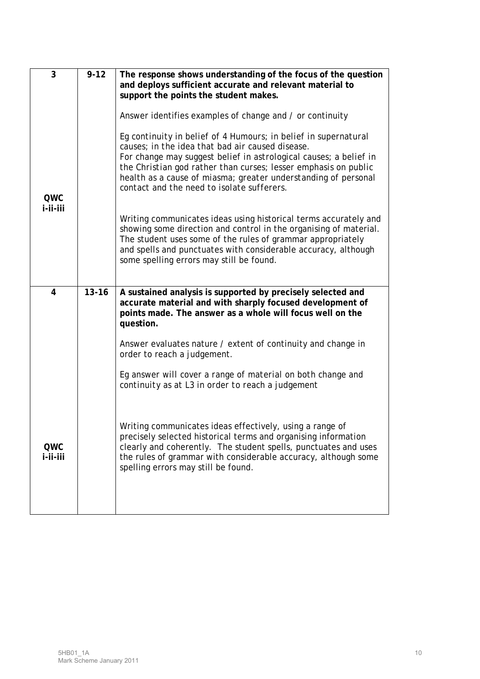| 3               | $9 - 12$  | The response shows understanding of the focus of the question<br>and deploys sufficient accurate and relevant material to<br>support the points the student makes.                                                                                                                                                                                                          |
|-----------------|-----------|-----------------------------------------------------------------------------------------------------------------------------------------------------------------------------------------------------------------------------------------------------------------------------------------------------------------------------------------------------------------------------|
|                 |           | Answer identifies examples of change and / or continuity                                                                                                                                                                                                                                                                                                                    |
| QWC             |           | Eg continuity in belief of 4 Humours; in belief in supernatural<br>causes; in the idea that bad air caused disease.<br>For change may suggest belief in astrological causes; a belief in<br>the Christian god rather than curses; lesser emphasis on public<br>health as a cause of miasma; greater understanding of personal<br>contact and the need to isolate sufferers. |
| i-ii-iii        |           | Writing communicates ideas using historical terms accurately and<br>showing some direction and control in the organising of material.<br>The student uses some of the rules of grammar appropriately<br>and spells and punctuates with considerable accuracy, although<br>some spelling errors may still be found.                                                          |
| $\overline{4}$  | $13 - 16$ | A sustained analysis is supported by precisely selected and<br>accurate material and with sharply focused development of<br>points made. The answer as a whole will focus well on the<br>question.                                                                                                                                                                          |
|                 |           | Answer evaluates nature / extent of continuity and change in<br>order to reach a judgement.                                                                                                                                                                                                                                                                                 |
|                 |           | Eg answer will cover a range of material on both change and<br>continuity as at L3 in order to reach a judgement                                                                                                                                                                                                                                                            |
| QWC<br>i-ii-iii |           | Writing communicates ideas effectively, using a range of<br>precisely selected historical terms and organising information<br>clearly and coherently. The student spells, punctuates and uses<br>the rules of grammar with considerable accuracy, although some<br>spelling errors may still be found.                                                                      |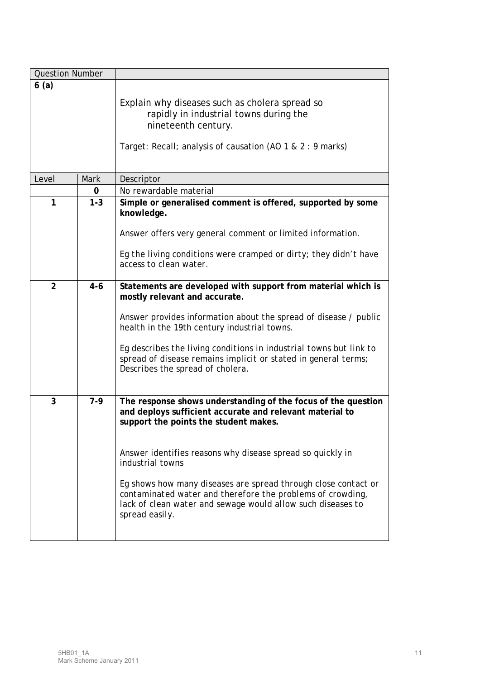| <b>Question Number</b> |         |                                                                                                                                                                                                                                                                                                                                                                                                                                                                       |
|------------------------|---------|-----------------------------------------------------------------------------------------------------------------------------------------------------------------------------------------------------------------------------------------------------------------------------------------------------------------------------------------------------------------------------------------------------------------------------------------------------------------------|
| 6(a)                   |         |                                                                                                                                                                                                                                                                                                                                                                                                                                                                       |
|                        |         | Explain why diseases such as cholera spread so<br>rapidly in industrial towns during the<br>nineteenth century.<br>Target: Recall; analysis of causation (AO 1 & 2 : 9 marks)                                                                                                                                                                                                                                                                                         |
| Level                  | Mark    | Descriptor                                                                                                                                                                                                                                                                                                                                                                                                                                                            |
|                        | 0       | No rewardable material                                                                                                                                                                                                                                                                                                                                                                                                                                                |
| 1                      | $1 - 3$ | Simple or generalised comment is offered, supported by some<br>knowledge.<br>Answer offers very general comment or limited information.<br>Eg the living conditions were cramped or dirty; they didn't have<br>access to clean water.                                                                                                                                                                                                                                 |
|                        |         |                                                                                                                                                                                                                                                                                                                                                                                                                                                                       |
| $\overline{2}$         | $4 - 6$ | Statements are developed with support from material which is<br>mostly relevant and accurate.<br>Answer provides information about the spread of disease / public<br>health in the 19th century industrial towns.<br>Eg describes the living conditions in industrial towns but link to<br>spread of disease remains implicit or stated in general terms;<br>Describes the spread of cholera.                                                                         |
| 3                      | $7-9$   | The response shows understanding of the focus of the question<br>and deploys sufficient accurate and relevant material to<br>support the points the student makes.<br>Answer identifies reasons why disease spread so quickly in<br>industrial towns<br>Eg shows how many diseases are spread through close contact or<br>contaminated water and therefore the problems of crowding,<br>lack of clean water and sewage would allow such diseases to<br>spread easily. |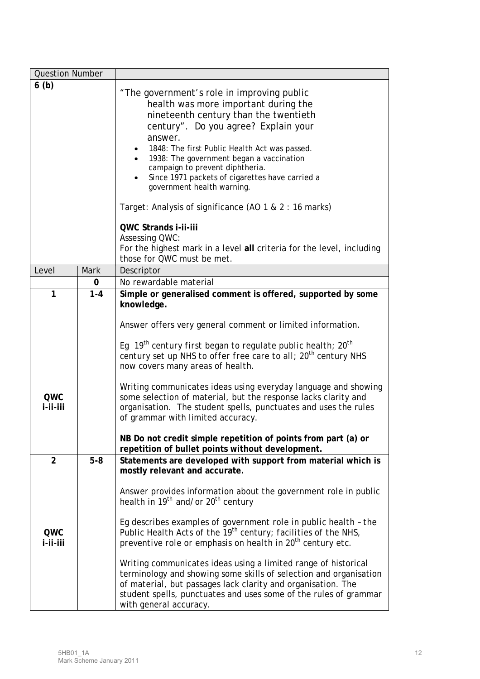| <b>Question Number</b>          |             |                                                                                                                                                                                                                                                                                                                                                                                                                                                                                                                                                                                                                                                                                                            |
|---------------------------------|-------------|------------------------------------------------------------------------------------------------------------------------------------------------------------------------------------------------------------------------------------------------------------------------------------------------------------------------------------------------------------------------------------------------------------------------------------------------------------------------------------------------------------------------------------------------------------------------------------------------------------------------------------------------------------------------------------------------------------|
| 6(b)                            |             | "The government's role in improving public<br>health was more important during the<br>nineteenth century than the twentieth<br>century". Do you agree? Explain your<br>answer.<br>1848: The first Public Health Act was passed.<br>1938: The government began a vaccination<br>campaign to prevent diphtheria.<br>Since 1971 packets of cigarettes have carried a<br>government health warning.<br>Target: Analysis of significance (AO 1 & 2 : 16 marks)<br>QWC Strands i-ii-iii<br><b>Assessing QWC:</b><br>For the highest mark in a level all criteria for the level, including<br>those for QWC must be met.                                                                                          |
| Level                           | <b>Mark</b> | Descriptor                                                                                                                                                                                                                                                                                                                                                                                                                                                                                                                                                                                                                                                                                                 |
|                                 | 0           | No rewardable material                                                                                                                                                                                                                                                                                                                                                                                                                                                                                                                                                                                                                                                                                     |
| $\mathbf{1}$<br>QWC<br>i-ii-iii | $1 - 4$     | Simple or generalised comment is offered, supported by some<br>knowledge.<br>Answer offers very general comment or limited information.<br>Eg 19 <sup>th</sup> century first began to regulate public health; $20^{th}$<br>century set up NHS to offer free care to all; 20 <sup>th</sup> century NHS<br>now covers many areas of health.<br>Writing communicates ideas using everyday language and showing<br>some selection of material, but the response lacks clarity and<br>organisation. The student spells, punctuates and uses the rules<br>of grammar with limited accuracy.<br>NB Do not credit simple repetition of points from part (a) or<br>repetition of bullet points without development. |
| $\overline{2}$<br>QWC           | $5-8$       | Statements are developed with support from material which is<br>mostly relevant and accurate.<br>Answer provides information about the government role in public<br>health in 19 <sup>th</sup> and/or 20 <sup>th</sup> century<br>Eg describes examples of government role in public health - the<br>Public Health Acts of the 19 <sup>th</sup> century; facilities of the NHS,                                                                                                                                                                                                                                                                                                                            |
| i-ii-iii                        |             | preventive role or emphasis on health in 20 <sup>th</sup> century etc.<br>Writing communicates ideas using a limited range of historical<br>terminology and showing some skills of selection and organisation<br>of material, but passages lack clarity and organisation. The<br>student spells, punctuates and uses some of the rules of grammar<br>with general accuracy.                                                                                                                                                                                                                                                                                                                                |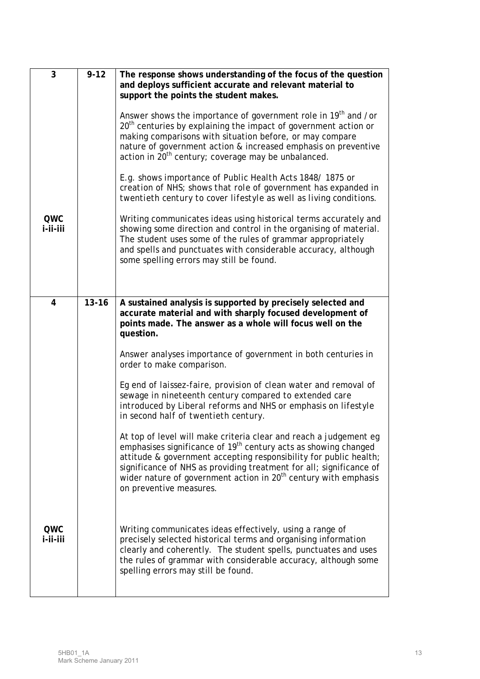| 3               | $9 - 12$  | The response shows understanding of the focus of the question<br>and deploys sufficient accurate and relevant material to<br>support the points the student makes.<br>Answer shows the importance of government role in 19 <sup>th</sup> and /or<br>$20th$ centuries by explaining the impact of government action or<br>making comparisons with situation before, or may compare<br>nature of government action & increased emphasis on preventive<br>action in 20 <sup>th</sup> century; coverage may be unbalanced.<br>E.g. shows importance of Public Health Acts 1848/1875 or<br>creation of NHS; shows that role of government has expanded in<br>twentieth century to cover lifestyle as well as living conditions.                                                                                                                                                                                                                         |
|-----------------|-----------|----------------------------------------------------------------------------------------------------------------------------------------------------------------------------------------------------------------------------------------------------------------------------------------------------------------------------------------------------------------------------------------------------------------------------------------------------------------------------------------------------------------------------------------------------------------------------------------------------------------------------------------------------------------------------------------------------------------------------------------------------------------------------------------------------------------------------------------------------------------------------------------------------------------------------------------------------|
| QWC<br>i-ii-iii |           | Writing communicates ideas using historical terms accurately and<br>showing some direction and control in the organising of material.<br>The student uses some of the rules of grammar appropriately<br>and spells and punctuates with considerable accuracy, although<br>some spelling errors may still be found.                                                                                                                                                                                                                                                                                                                                                                                                                                                                                                                                                                                                                                 |
| $\overline{4}$  | $13 - 16$ | A sustained analysis is supported by precisely selected and<br>accurate material and with sharply focused development of<br>points made. The answer as a whole will focus well on the<br>question.<br>Answer analyses importance of government in both centuries in<br>order to make comparison.<br>Eg end of laissez-faire, provision of clean water and removal of<br>sewage in nineteenth century compared to extended care<br>introduced by Liberal reforms and NHS or emphasis on lifestyle<br>in second half of twentieth century.<br>At top of level will make criteria clear and reach a judgement eg<br>emphasises significance of 19 <sup>th</sup> century acts as showing changed<br>attitude & government accepting responsibility for public health;<br>significance of NHS as providing treatment for all; significance of<br>wider nature of government action in 20 <sup>th</sup> century with emphasis<br>on preventive measures. |
| QWC<br>i-ii-iii |           | Writing communicates ideas effectively, using a range of<br>precisely selected historical terms and organising information<br>clearly and coherently. The student spells, punctuates and uses<br>the rules of grammar with considerable accuracy, although some<br>spelling errors may still be found.                                                                                                                                                                                                                                                                                                                                                                                                                                                                                                                                                                                                                                             |